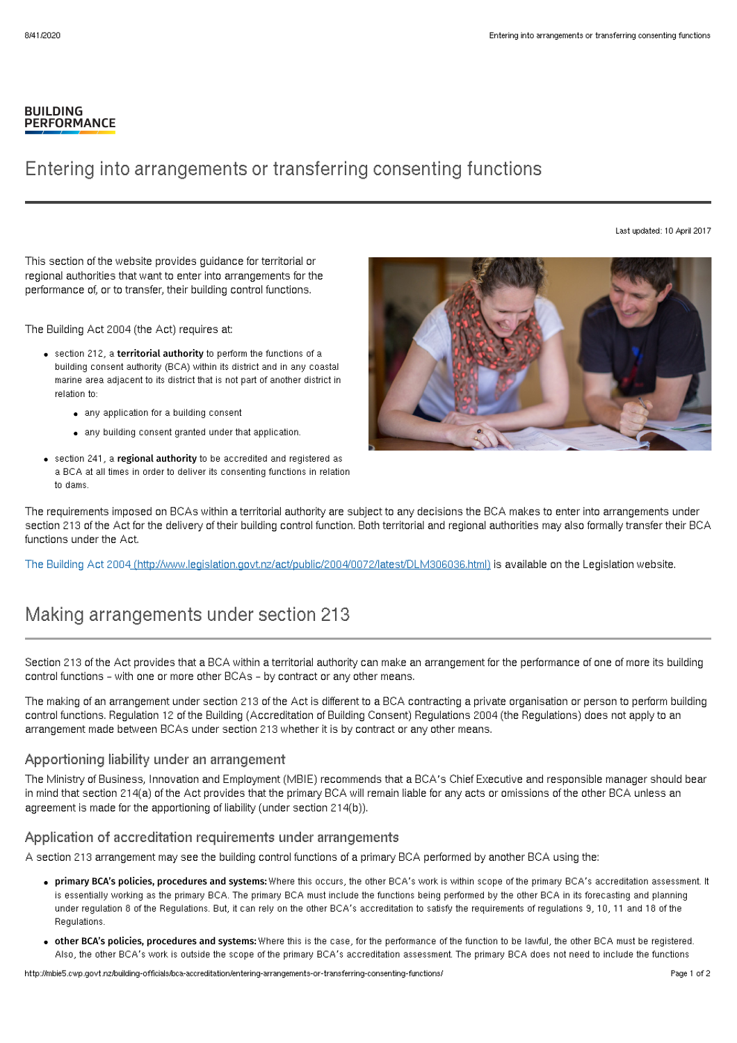### **BUILDING PERFORMANCE**

## Entering into arrangements or transferring consenting functions

Last updated: 10 April 2017

This section of the website provides guidance for territorial or regional authorities that want to enter into arrangements for the performance of, or to transfer, their building control functions.

The Building Act 2004 (the Act) requires at:

- **•** section 212, a territorial authority to perform the functions of a building consent authority (BCA) within its district and in any coastal marine area adjacent to its district that is not part of another district in relation to:
	- any application for a building consent
	- any building consent granted under that application.
- section 241, a regional authority to be accredited and registered as a BCA at all times in order to deliver its consenting functions in relation to dams.



The requirements imposed on BCAs within a territorial authority are subject to any decisions the BCA makes to enter into arrangements under section 213 of the Act for the delivery of their building control function. Both territorial and regional authorities may also formally transfer their BCA functions under the Act.

The Building Act 2004 [\(http://www.legislation.govt.nz/act/public/2004/0072/latest/DLM306036.html\)](http://www.legislation.govt.nz/act/public/2004/0072/latest/DLM306036.html) is available on the Legislation website.

# Making arrangements under section 213

Section 213 of the Act provides that a BCA within a territorial authority can make an arrangement for the performance of one of more its building control functions – with one or more other BCAs – by contract or any other means.

The making of an arrangement under section 213 of the Act is different to a BCA contracting a private organisation or person to perform building control functions. Regulation 12 of the Building (Accreditation of Building Consent) Regulations 2004 (the Regulations) does not apply to an arrangement made between BCAs under section 213 whether it is by contract or any other means.

### Apportioning liability under an arrangement

The Ministry of Business, Innovation and Employment (MBIE) recommends that a BCA's Chief Executive and responsible manager should bear in mind that section 214(a) of the Act provides that the primary BCA will remain liable for any acts or omissions of the other BCA unless an agreement is made for the apportioning of liability (under section 214(b)).

#### Application of accreditation requirements under arrangements

A section 213 arrangement may see the building control functions of a primary BCA performed by another BCA using the:

- primary BCA's policies, procedures and systems: Where this occurs, the other BCA's work is within scope of the primary BCA's accreditation assessment. It is essentially working as the primary BCA. The primary BCA must include the functions being performed by the other BCA in its forecasting and planning under regulation 8 of the Regulations. But, it can rely on the other BCA's accreditation to satisfy the requirements of regulations 9, 10, 11 and 18 of the Regulations.
- . other BCA's policies, procedures and systems: Where this is the case, for the performance of the function to be lawful, the other BCA must be registered. Also, the other BCA's work is outside the scope of the primary BCA's accreditation assessment. The primary BCA does not need to include the functions

http://mbie5.cwp.govt.nz/building-officials/bca-accreditation/entering-arrangements-or-transferring-consenting-functions/ Page 1 of 2